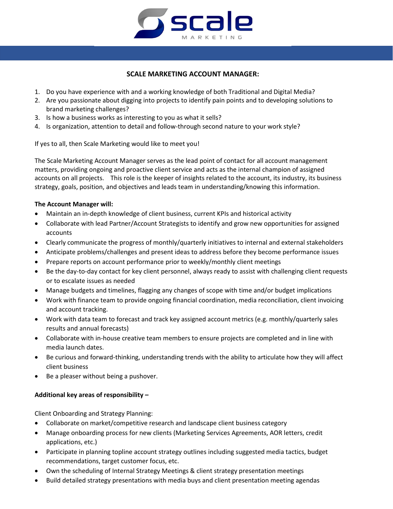

# **SCALE MARKETING ACCOUNT MANAGER:**

- 1. Do you have experience with and a working knowledge of both Traditional and Digital Media?
- 2. Are you passionate about digging into projects to identify pain points and to developing solutions to brand marketing challenges?
- 3. Is how a business works as interesting to you as what it sells?
- 4. Is organization, attention to detail and follow-through second nature to your work style?

If yes to all, then Scale Marketing would like to meet you!

The Scale Marketing Account Manager serves as the lead point of contact for all account management matters, providing ongoing and proactive client service and acts as the internal champion of assigned accounts on all projects. This role is the keeper of insights related to the account, its industry, its business strategy, goals, position, and objectives and leads team in understanding/knowing this information.

# **The Account Manager will:**

- Maintain an in-depth knowledge of client business, current KPIs and historical activity
- Collaborate with lead Partner/Account Strategists to identify and grow new opportunities for assigned accounts
- Clearly communicate the progress of monthly/quarterly initiatives to internal and external stakeholders
- Anticipate problems/challenges and present ideas to address before they become performance issues
- Prepare reports on account performance prior to weekly/monthly client meetings
- Be the day-to-day contact for key client personnel, always ready to assist with challenging client requests or to escalate issues as needed
- Manage budgets and timelines, flagging any changes of scope with time and/or budget implications
- Work with finance team to provide ongoing financial coordination, media reconciliation, client invoicing and account tracking.
- Work with data team to forecast and track key assigned account metrics (e.g. monthly/quarterly sales results and annual forecasts)
- Collaborate with in-house creative team members to ensure projects are completed and in line with media launch dates.
- Be curious and forward-thinking, understanding trends with the ability to articulate how they will affect client business
- Be a pleaser without being a pushover.

# **Additional key areas of responsibility –**

Client Onboarding and Strategy Planning:

- Collaborate on market/competitive research and landscape client business category
- Manage onboarding process for new clients (Marketing Services Agreements, AOR letters, credit applications, etc.)
- Participate in planning topline account strategy outlines including suggested media tactics, budget recommendations, target customer focus, etc.
- Own the scheduling of Internal Strategy Meetings & client strategy presentation meetings
- Build detailed strategy presentations with media buys and client presentation meeting agendas